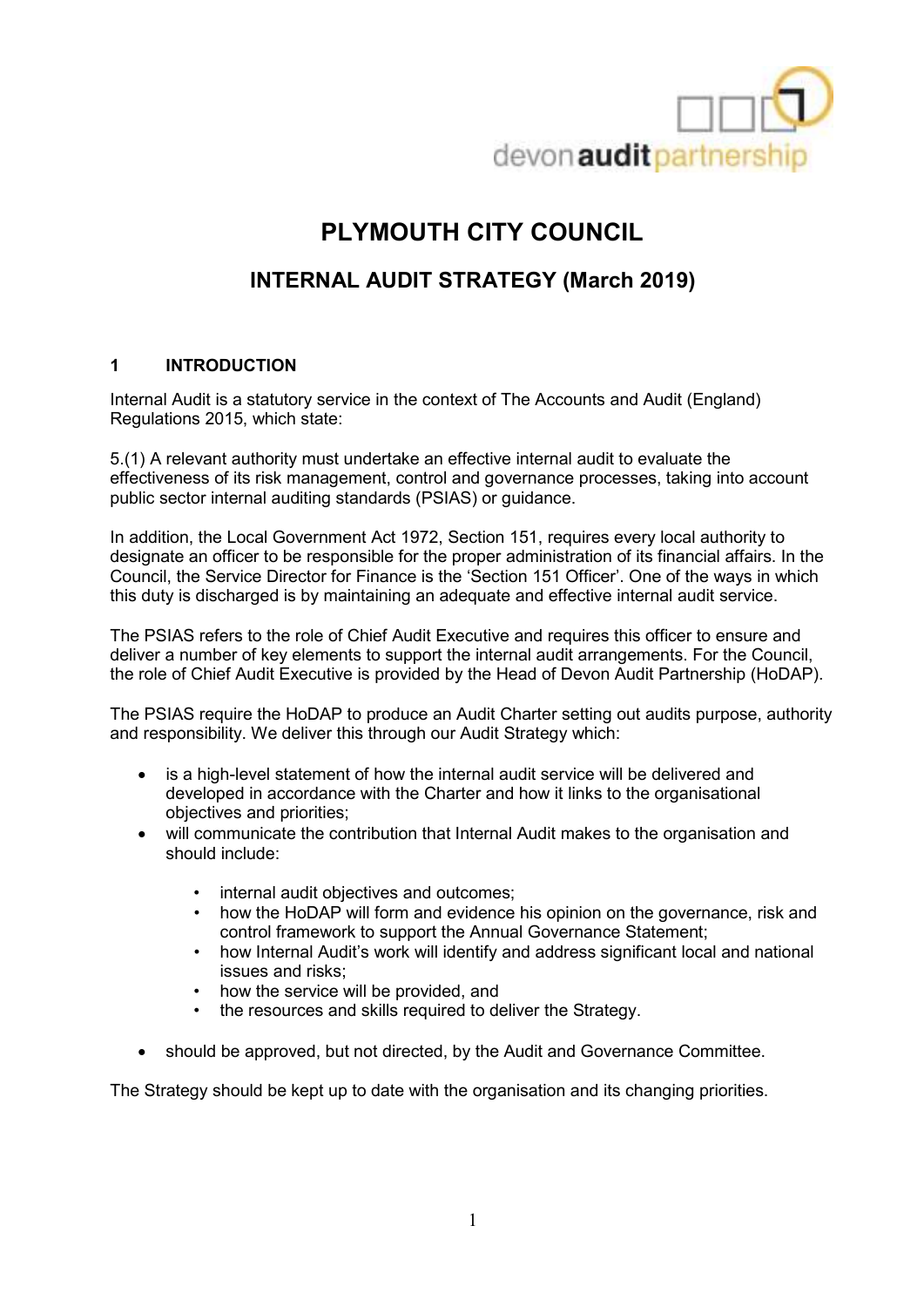

# **PLYMOUTH CITY COUNCIL**

## **INTERNAL AUDIT STRATEGY (March 2019)**

#### **1 INTRODUCTION**

Internal Audit is a statutory service in the context of The Accounts and Audit (England) Regulations 2015, which state:

5.(1) A relevant authority must undertake an effective internal audit to evaluate the effectiveness of its risk management, control and governance processes, taking into account public sector internal auditing standards (PSIAS) or guidance.

In addition, the Local Government Act 1972, Section 151, requires every local authority to designate an officer to be responsible for the proper administration of its financial affairs. In the Council, the Service Director for Finance is the 'Section 151 Officer'. One of the ways in which this duty is discharged is by maintaining an adequate and effective internal audit service.

The PSIAS refers to the role of Chief Audit Executive and requires this officer to ensure and deliver a number of key elements to support the internal audit arrangements. For the Council, the role of Chief Audit Executive is provided by the Head of Devon Audit Partnership (HoDAP).

The PSIAS require the HoDAP to produce an Audit Charter setting out audits purpose, authority and responsibility. We deliver this through our Audit Strategy which:

- is a high-level statement of how the internal audit service will be delivered and developed in accordance with the Charter and how it links to the organisational objectives and priorities;
- will communicate the contribution that Internal Audit makes to the organisation and should include:
	- internal audit objectives and outcomes:
	- how the HoDAP will form and evidence his opinion on the governance, risk and control framework to support the Annual Governance Statement;
	- how Internal Audit's work will identify and address significant local and national issues and risks;
	- how the service will be provided, and
	- the resources and skills required to deliver the Strategy.
- should be approved, but not directed, by the Audit and Governance Committee.

The Strategy should be kept up to date with the organisation and its changing priorities.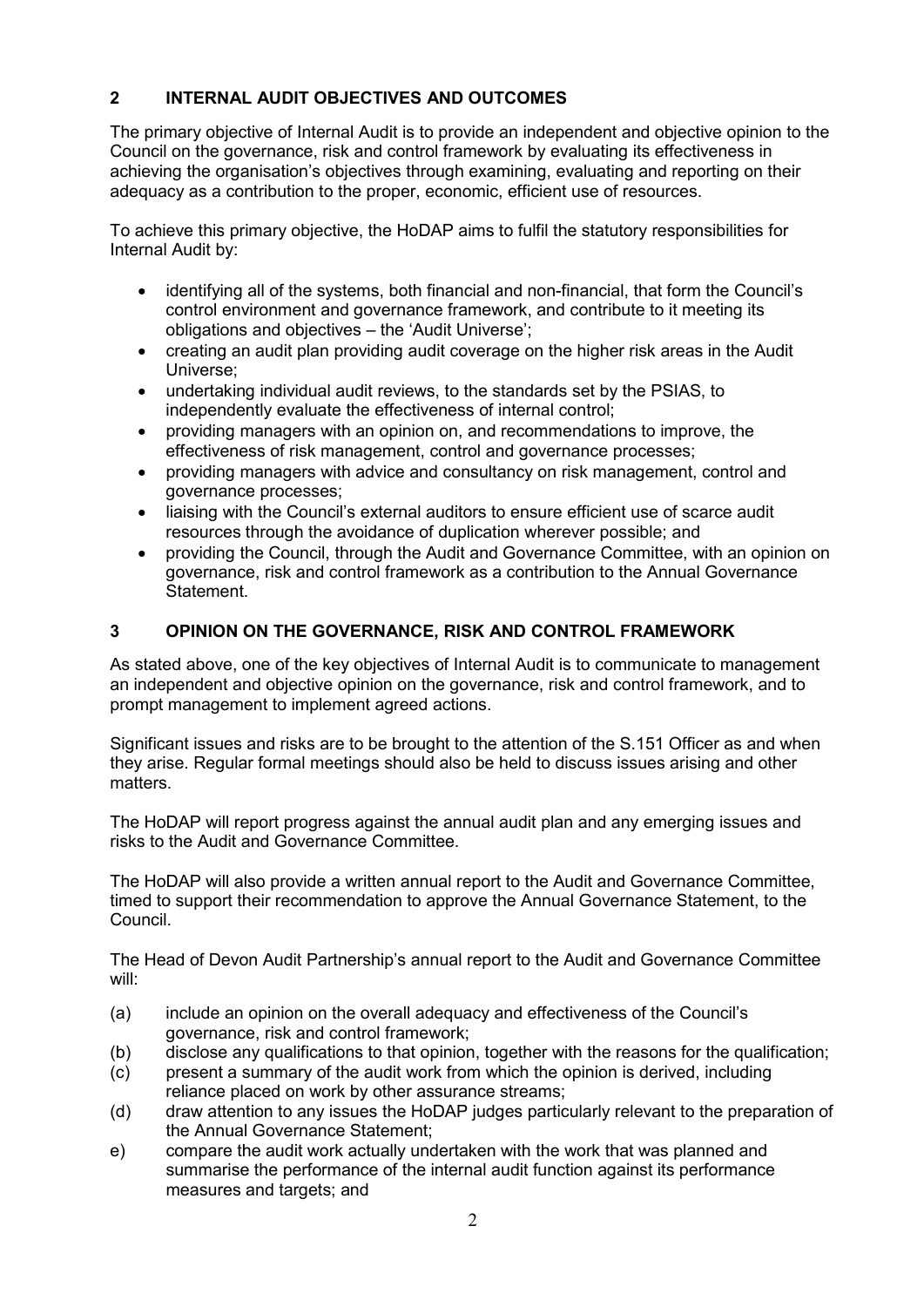## **2 INTERNAL AUDIT OBJECTIVES AND OUTCOMES**

The primary objective of Internal Audit is to provide an independent and objective opinion to the Council on the governance, risk and control framework by evaluating its effectiveness in achieving the organisation's objectives through examining, evaluating and reporting on their adequacy as a contribution to the proper, economic, efficient use of resources.

To achieve this primary objective, the HoDAP aims to fulfil the statutory responsibilities for Internal Audit by:

- identifying all of the systems, both financial and non-financial, that form the Council's control environment and governance framework, and contribute to it meeting its obligations and objectives – the 'Audit Universe';
- creating an audit plan providing audit coverage on the higher risk areas in the Audit Universe;
- undertaking individual audit reviews, to the standards set by the PSIAS, to independently evaluate the effectiveness of internal control;
- providing managers with an opinion on, and recommendations to improve, the effectiveness of risk management, control and governance processes;
- providing managers with advice and consultancy on risk management, control and governance processes;
- liaising with the Council's external auditors to ensure efficient use of scarce audit resources through the avoidance of duplication wherever possible; and
- providing the Council, through the Audit and Governance Committee, with an opinion on governance, risk and control framework as a contribution to the Annual Governance Statement.

### **3 OPINION ON THE GOVERNANCE, RISK AND CONTROL FRAMEWORK**

As stated above, one of the key objectives of Internal Audit is to communicate to management an independent and objective opinion on the governance, risk and control framework, and to prompt management to implement agreed actions.

Significant issues and risks are to be brought to the attention of the S.151 Officer as and when they arise. Regular formal meetings should also be held to discuss issues arising and other matters.

The HoDAP will report progress against the annual audit plan and any emerging issues and risks to the Audit and Governance Committee.

The HoDAP will also provide a written annual report to the Audit and Governance Committee, timed to support their recommendation to approve the Annual Governance Statement, to the Council.

The Head of Devon Audit Partnership's annual report to the Audit and Governance Committee will:

- (a) include an opinion on the overall adequacy and effectiveness of the Council's governance, risk and control framework;
- (b) disclose any qualifications to that opinion, together with the reasons for the qualification;
- (c) present a summary of the audit work from which the opinion is derived, including reliance placed on work by other assurance streams;
- (d) draw attention to any issues the HoDAP judges particularly relevant to the preparation of the Annual Governance Statement;
- e) compare the audit work actually undertaken with the work that was planned and summarise the performance of the internal audit function against its performance measures and targets; and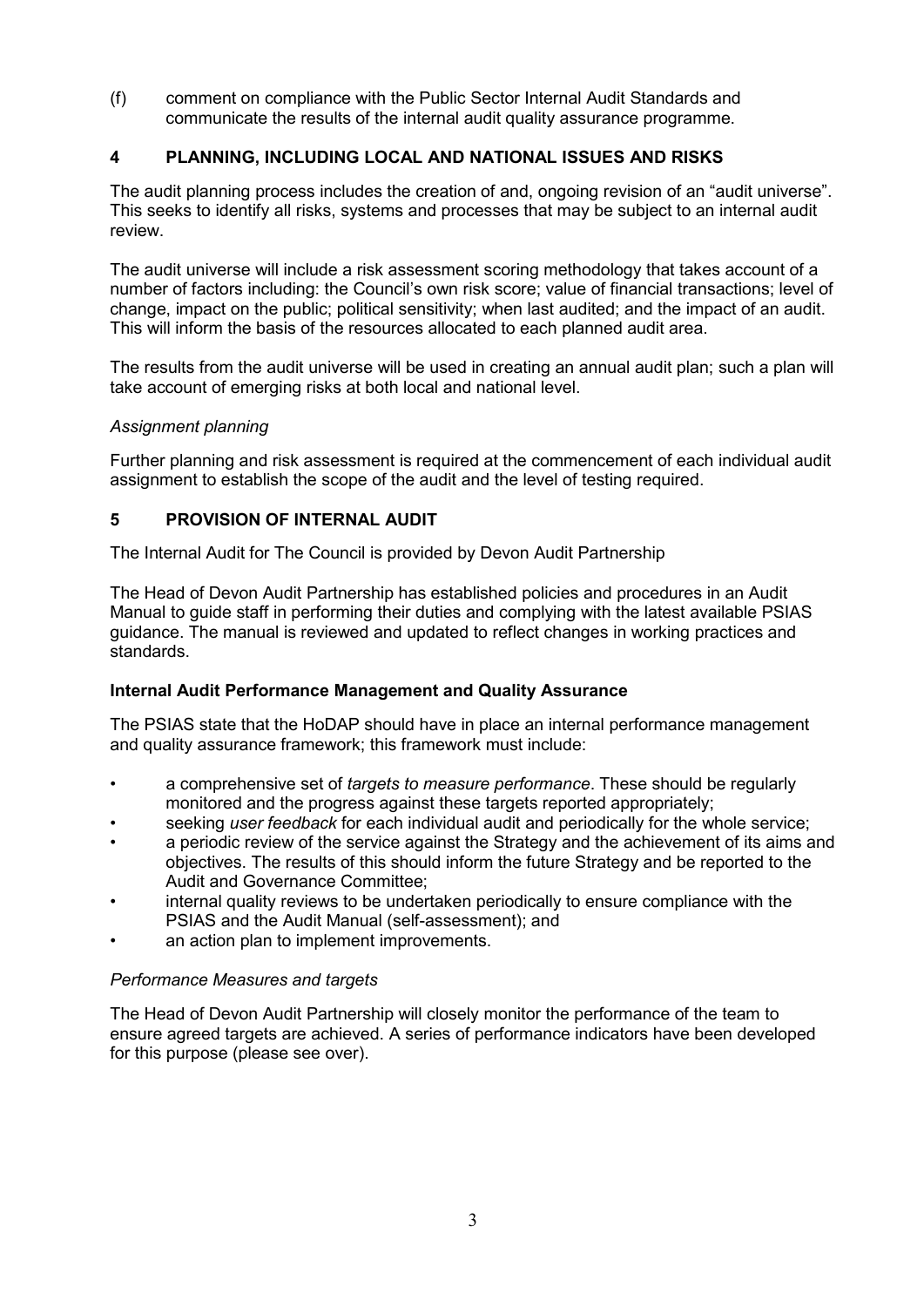(f) comment on compliance with the Public Sector Internal Audit Standards and communicate the results of the internal audit quality assurance programme.

## **4 PLANNING, INCLUDING LOCAL AND NATIONAL ISSUES AND RISKS**

The audit planning process includes the creation of and, ongoing revision of an "audit universe". This seeks to identify all risks, systems and processes that may be subject to an internal audit review.

The audit universe will include a risk assessment scoring methodology that takes account of a number of factors including: the Council's own risk score; value of financial transactions; level of change, impact on the public; political sensitivity; when last audited; and the impact of an audit. This will inform the basis of the resources allocated to each planned audit area.

The results from the audit universe will be used in creating an annual audit plan; such a plan will take account of emerging risks at both local and national level.

#### *Assignment planning*

Further planning and risk assessment is required at the commencement of each individual audit assignment to establish the scope of the audit and the level of testing required.

#### **5 PROVISION OF INTERNAL AUDIT**

The Internal Audit for The Council is provided by Devon Audit Partnership

The Head of Devon Audit Partnership has established policies and procedures in an Audit Manual to guide staff in performing their duties and complying with the latest available PSIAS guidance. The manual is reviewed and updated to reflect changes in working practices and standards.

#### **Internal Audit Performance Management and Quality Assurance**

The PSIAS state that the HoDAP should have in place an internal performance management and quality assurance framework; this framework must include:

- a comprehensive set of *targets to measure performance*. These should be regularly monitored and the progress against these targets reported appropriately;
- seeking *user feedback* for each individual audit and periodically for the whole service;
- a periodic review of the service against the Strategy and the achievement of its aims and objectives. The results of this should inform the future Strategy and be reported to the Audit and Governance Committee;
- internal quality reviews to be undertaken periodically to ensure compliance with the PSIAS and the Audit Manual (self-assessment); and
- an action plan to implement improvements.

#### *Performance Measures and targets*

The Head of Devon Audit Partnership will closely monitor the performance of the team to ensure agreed targets are achieved. A series of performance indicators have been developed for this purpose (please see over).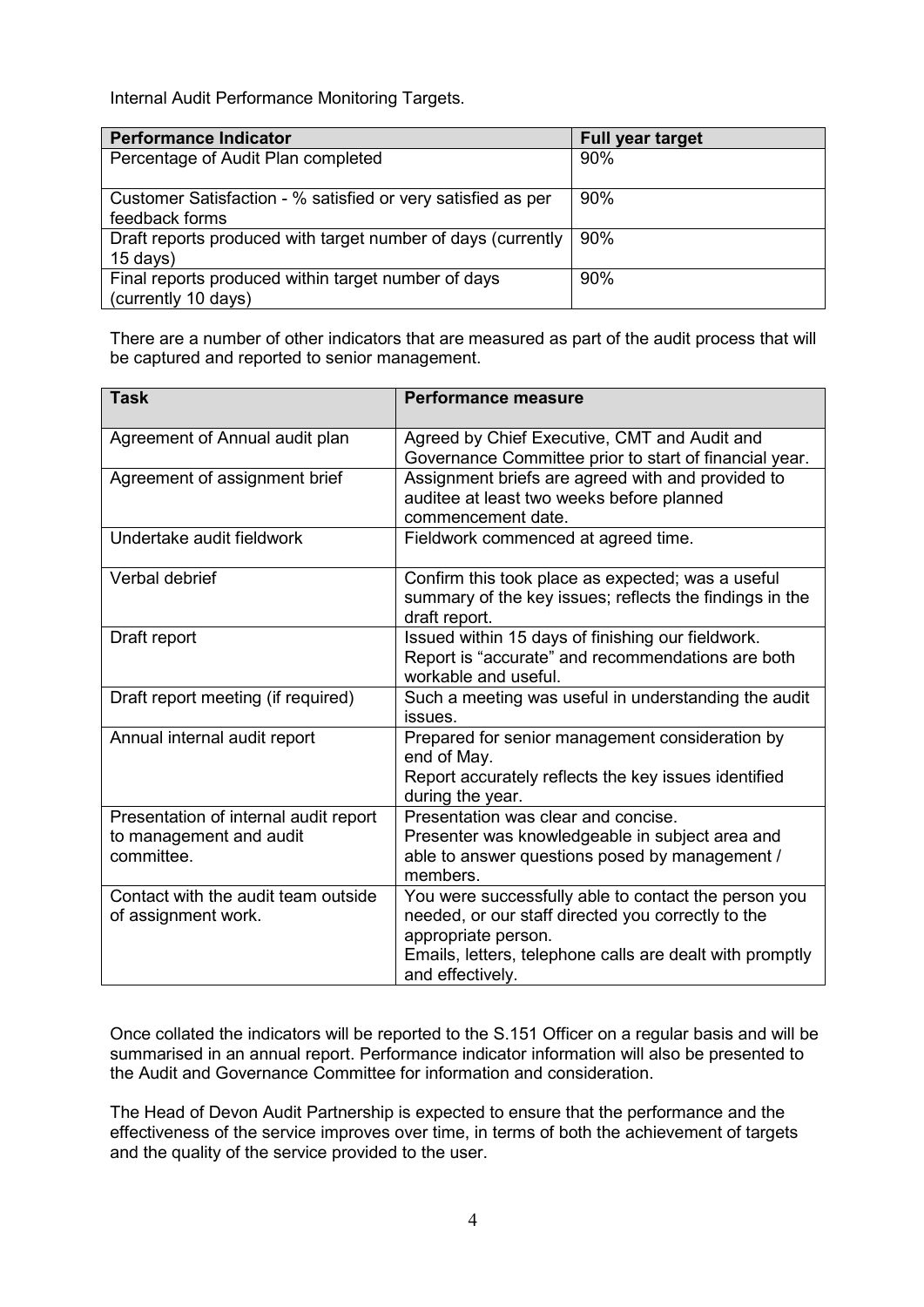Internal Audit Performance Monitoring Targets.

| <b>Performance Indicator</b>                                 | <b>Full year target</b> |
|--------------------------------------------------------------|-------------------------|
| Percentage of Audit Plan completed                           | 90%                     |
|                                                              |                         |
| Customer Satisfaction - % satisfied or very satisfied as per | 90%                     |
| feedback forms                                               |                         |
| Draft reports produced with target number of days (currently | 90%                     |
| $15$ days)                                                   |                         |
| Final reports produced within target number of days          | 90%                     |
| (currently 10 days)                                          |                         |

There are a number of other indicators that are measured as part of the audit process that will be captured and reported to senior management.

| <b>Task</b>                                                                    | <b>Performance measure</b>                                                                                                                                                                                        |
|--------------------------------------------------------------------------------|-------------------------------------------------------------------------------------------------------------------------------------------------------------------------------------------------------------------|
| Agreement of Annual audit plan                                                 | Agreed by Chief Executive, CMT and Audit and<br>Governance Committee prior to start of financial year.                                                                                                            |
| Agreement of assignment brief                                                  | Assignment briefs are agreed with and provided to<br>auditee at least two weeks before planned<br>commencement date.                                                                                              |
| Undertake audit fieldwork                                                      | Fieldwork commenced at agreed time.                                                                                                                                                                               |
| Verbal debrief                                                                 | Confirm this took place as expected; was a useful<br>summary of the key issues; reflects the findings in the<br>draft report.                                                                                     |
| Draft report                                                                   | Issued within 15 days of finishing our fieldwork.<br>Report is "accurate" and recommendations are both<br>workable and useful.                                                                                    |
| Draft report meeting (if required)                                             | Such a meeting was useful in understanding the audit<br>issues.                                                                                                                                                   |
| Annual internal audit report                                                   | Prepared for senior management consideration by<br>end of May.<br>Report accurately reflects the key issues identified<br>during the year.                                                                        |
| Presentation of internal audit report<br>to management and audit<br>committee. | Presentation was clear and concise.<br>Presenter was knowledgeable in subject area and<br>able to answer questions posed by management /<br>members.                                                              |
| Contact with the audit team outside<br>of assignment work.                     | You were successfully able to contact the person you<br>needed, or our staff directed you correctly to the<br>appropriate person.<br>Emails, letters, telephone calls are dealt with promptly<br>and effectively. |

Once collated the indicators will be reported to the S.151 Officer on a regular basis and will be summarised in an annual report. Performance indicator information will also be presented to the Audit and Governance Committee for information and consideration.

The Head of Devon Audit Partnership is expected to ensure that the performance and the effectiveness of the service improves over time, in terms of both the achievement of targets and the quality of the service provided to the user.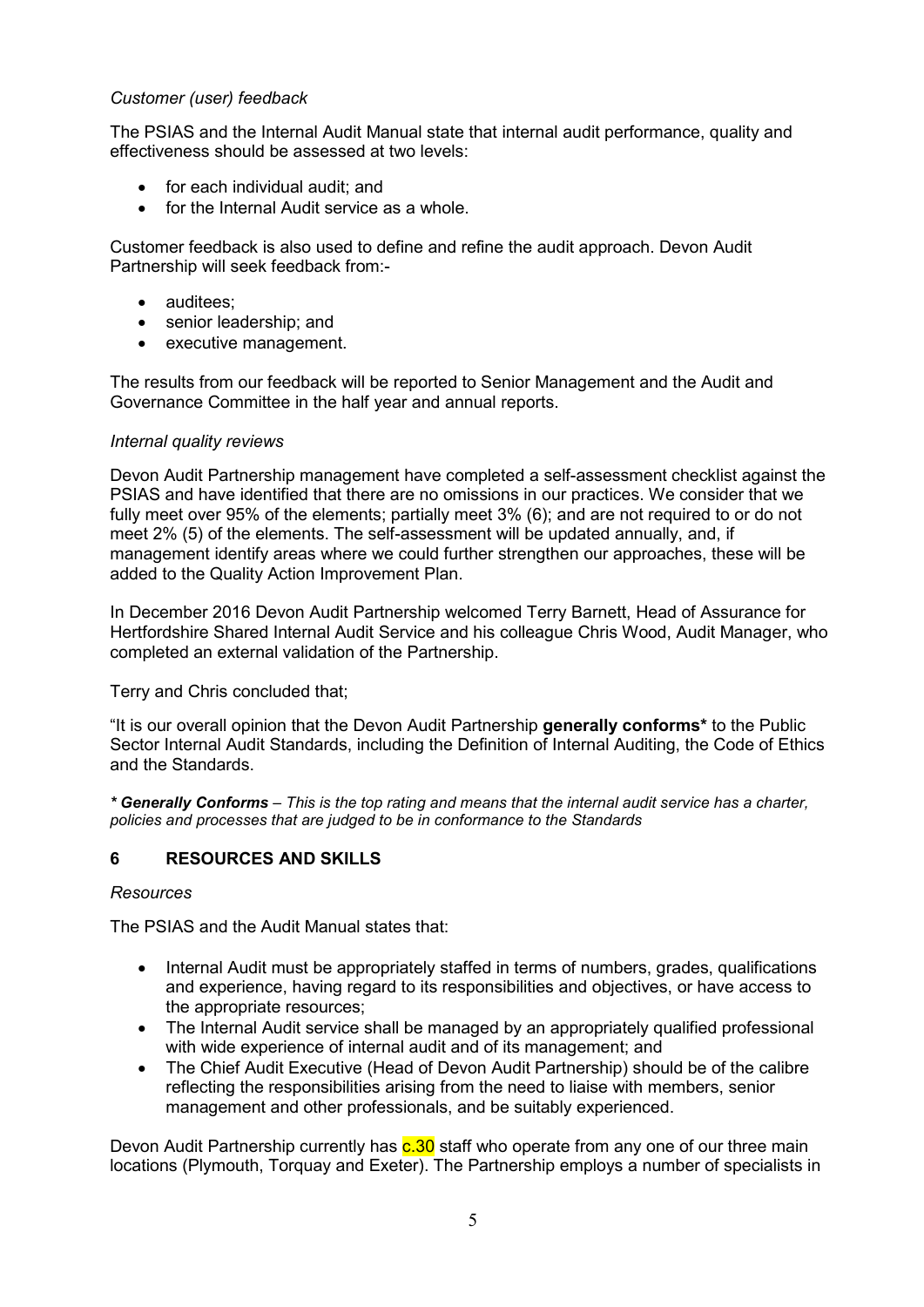#### *Customer (user) feedback*

The PSIAS and the Internal Audit Manual state that internal audit performance, quality and effectiveness should be assessed at two levels:

- for each individual audit; and
- for the Internal Audit service as a whole.

Customer feedback is also used to define and refine the audit approach. Devon Audit Partnership will seek feedback from:-

- auditees:
- senior leadership: and
- executive management.

The results from our feedback will be reported to Senior Management and the Audit and Governance Committee in the half year and annual reports.

#### *Internal quality reviews*

Devon Audit Partnership management have completed a self-assessment checklist against the PSIAS and have identified that there are no omissions in our practices. We consider that we fully meet over 95% of the elements; partially meet 3% (6); and are not required to or do not meet 2% (5) of the elements. The self-assessment will be updated annually, and, if management identify areas where we could further strengthen our approaches, these will be added to the Quality Action Improvement Plan.

In December 2016 Devon Audit Partnership welcomed Terry Barnett, Head of Assurance for Hertfordshire Shared Internal Audit Service and his colleague Chris Wood, Audit Manager, who completed an external validation of the Partnership.

Terry and Chris concluded that;

"It is our overall opinion that the Devon Audit Partnership **generally conforms\*** to the Public Sector Internal Audit Standards, including the Definition of Internal Auditing, the Code of Ethics and the Standards.

*\* Generally Conforms – This is the top rating and means that the internal audit service has a charter, policies and processes that are judged to be in conformance to the Standards* 

#### **6 RESOURCES AND SKILLS**

#### *Resources*

The PSIAS and the Audit Manual states that:

- Internal Audit must be appropriately staffed in terms of numbers, grades, qualifications and experience, having regard to its responsibilities and objectives, or have access to the appropriate resources;
- The Internal Audit service shall be managed by an appropriately qualified professional with wide experience of internal audit and of its management; and
- The Chief Audit Executive (Head of Devon Audit Partnership) should be of the calibre reflecting the responsibilities arising from the need to liaise with members, senior management and other professionals, and be suitably experienced.

Devon Audit Partnership currently has  $c.30$  staff who operate from any one of our three main locations (Plymouth, Torquay and Exeter). The Partnership employs a number of specialists in